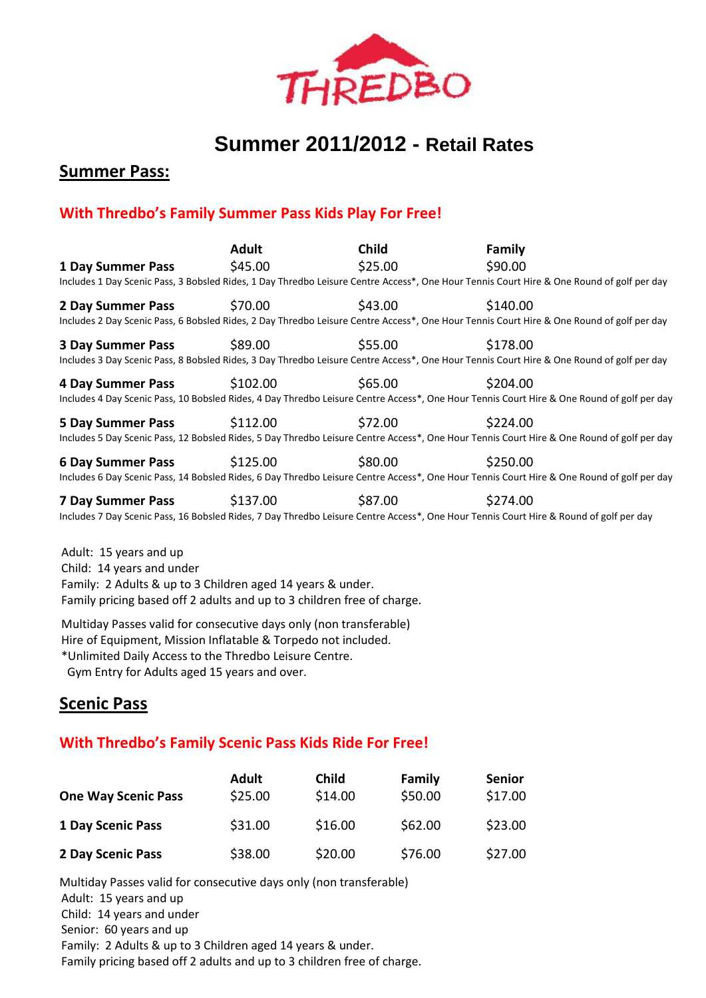

# **Summer 2011/2012 - Retail Rates**

**Summer Pass:**

# **With Thredbo's Family Summer Pass Kids Play For Free!**

|                          | <b>Adult</b> | <b>Child</b> | Family                                                                                                                                     |  |
|--------------------------|--------------|--------------|--------------------------------------------------------------------------------------------------------------------------------------------|--|
| <b>1 Day Summer Pass</b> | \$45.00      | \$25.00      | \$90.00                                                                                                                                    |  |
|                          |              |              | Includes 1 Day Scenic Pass, 3 Bobsled Rides, 1 Day Thredbo Leisure Centre Access*, One Hour Tennis Court Hire & One Round of golf per day  |  |
| <b>2 Day Summer Pass</b> | \$70.00      | \$43.00      | \$140.00                                                                                                                                   |  |
|                          |              |              | Includes 2 Day Scenic Pass, 6 Bobsled Rides, 2 Day Thredbo Leisure Centre Access*, One Hour Tennis Court Hire & One Round of golf per day  |  |
| <b>3 Day Summer Pass</b> | \$89.00      | \$55.00      | \$178.00                                                                                                                                   |  |
|                          |              |              | Includes 3 Day Scenic Pass, 8 Bobsled Rides, 3 Day Thredbo Leisure Centre Access*, One Hour Tennis Court Hire & One Round of golf per day  |  |
| <b>4 Day Summer Pass</b> | \$102.00     | \$65.00      | \$204.00                                                                                                                                   |  |
|                          |              |              | Includes 4 Day Scenic Pass, 10 Bobsled Rides, 4 Day Thredbo Leisure Centre Access*, One Hour Tennis Court Hire & One Round of golf per day |  |
| <b>5 Day Summer Pass</b> | \$112.00     | \$72.00      | \$224.00                                                                                                                                   |  |
|                          |              |              | Includes 5 Day Scenic Pass, 12 Bobsled Rides, 5 Day Thredbo Leisure Centre Access*, One Hour Tennis Court Hire & One Round of golf per day |  |
| <b>6 Day Summer Pass</b> | \$125.00     | \$80.00      | \$250.00                                                                                                                                   |  |
|                          |              |              | Includes 6 Day Scenic Pass, 14 Bobsled Rides, 6 Day Thredbo Leisure Centre Access*, One Hour Tennis Court Hire & One Round of golf per day |  |
| <b>7 Day Summer Pass</b> | \$137.00     | \$87.00      | \$274.00                                                                                                                                   |  |
|                          |              |              | Includes 7 Day Scenic Pass, 16 Bobsled Rides, 7 Day Thredbo Leisure Centre Access*, One Hour Tennis Court Hire & Round of golf per day     |  |
|                          |              |              |                                                                                                                                            |  |
| Adult: 15 your and un    |              |              |                                                                                                                                            |  |

Adult: 15 years and up Child: 14 years and under Family: 2 Adults & up to 3 Children aged 14 years & under. Family pricing based off 2 adults and up to 3 children free of charge.

Multiday Passes valid for consecutive days only (non transferable) Hire of Equipment, Mission Inflatable & Torpedo not included. \*Unlimited Daily Access to the Thredbo Leisure Centre. Gym Entry for Adults aged 15 years and over.

# **Scenic Pass**

### **With Thredbo's Family Scenic Pass Kids Ride For Free!**

| <b>One Way Scenic Pass</b> | <b>Adult</b><br>\$25.00 | <b>Child</b><br>\$14.00 | Family<br>\$50.00 | <b>Senior</b><br>\$17.00 |
|----------------------------|-------------------------|-------------------------|-------------------|--------------------------|
| <b>1 Day Scenic Pass</b>   | \$31.00                 | \$16.00                 | \$62.00           | \$23.00                  |
| 2 Day Scenic Pass          | \$38.00                 | \$20.00                 | \$76.00           | \$27.00                  |

Multiday Passes valid for consecutive days only (non transferable) Adult: 15 years and up Child: 14 years and under Senior: 60 years and up Family: 2 Adults & up to 3 Children aged 14 years & under. Family pricing based off 2 adults and up to 3 children free of charge.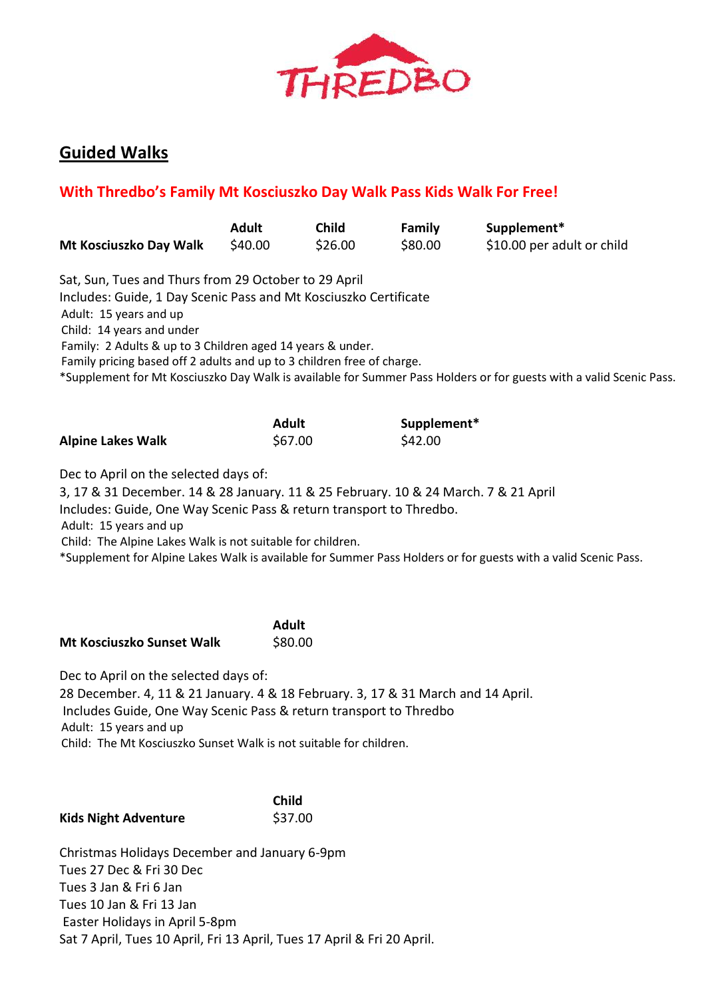

# **Guided Walks**

# **With Thredbo's Family Mt Kosciuszko Day Walk Pass Kids Walk For Free!**

| Mt Kosciuszko Day Walk                                                                                                                                                                                                                                                                                                                                                                                        | <b>Adult</b><br>\$40.00 | <b>Child</b><br>\$26.00 | <b>Family</b><br>\$80.00 | Supplement*<br>\$10.00 per adult or child                                                                           |  |  |
|---------------------------------------------------------------------------------------------------------------------------------------------------------------------------------------------------------------------------------------------------------------------------------------------------------------------------------------------------------------------------------------------------------------|-------------------------|-------------------------|--------------------------|---------------------------------------------------------------------------------------------------------------------|--|--|
| Sat, Sun, Tues and Thurs from 29 October to 29 April<br>Includes: Guide, 1 Day Scenic Pass and Mt Kosciuszko Certificate<br>Adult: 15 years and up<br>Child: 14 years and under<br>Family: 2 Adults & up to 3 Children aged 14 years & under.<br>Family pricing based off 2 adults and up to 3 children free of charge.                                                                                       |                         |                         |                          | *Supplement for Mt Kosciuszko Day Walk is available for Summer Pass Holders or for guests with a valid Scenic Pass. |  |  |
| <b>Alpine Lakes Walk</b>                                                                                                                                                                                                                                                                                                                                                                                      | <b>Adult</b><br>\$67.00 |                         | Supplement*<br>\$42.00   |                                                                                                                     |  |  |
| Dec to April on the selected days of:<br>3, 17 & 31 December. 14 & 28 January. 11 & 25 February. 10 & 24 March. 7 & 21 April<br>Includes: Guide, One Way Scenic Pass & return transport to Thredbo.<br>Adult: 15 years and up<br>Child: The Alpine Lakes Walk is not suitable for children.<br>*Supplement for Alpine Lakes Walk is available for Summer Pass Holders or for guests with a valid Scenic Pass. |                         |                         |                          |                                                                                                                     |  |  |
| Mt Kosciuszko Sunset Walk                                                                                                                                                                                                                                                                                                                                                                                     | <b>Adult</b><br>\$80.00 |                         |                          |                                                                                                                     |  |  |
| Dec to April on the selected days of:<br>28 December. 4, 11 & 21 January. 4 & 18 February. 3, 17 & 31 March and 14 April.<br>Includes Guide, One Way Scenic Pass & return transport to Thredbo<br>Adult: 15 years and up<br>Child: The Mt Kosciuszko Sunset Walk is not suitable for children.                                                                                                                |                         |                         |                          |                                                                                                                     |  |  |
| <b>Kids Night Adventure</b>                                                                                                                                                                                                                                                                                                                                                                                   | <b>Child</b><br>\$37.00 |                         |                          |                                                                                                                     |  |  |

Christmas Holidays December and January 6-9pm Tues 27 Dec & Fri 30 Dec Tues 3 Jan & Fri 6 Jan Tues 10 Jan & Fri 13 Jan Easter Holidays in April 5-8pm Sat 7 April, Tues 10 April, Fri 13 April, Tues 17 April & Fri 20 April.